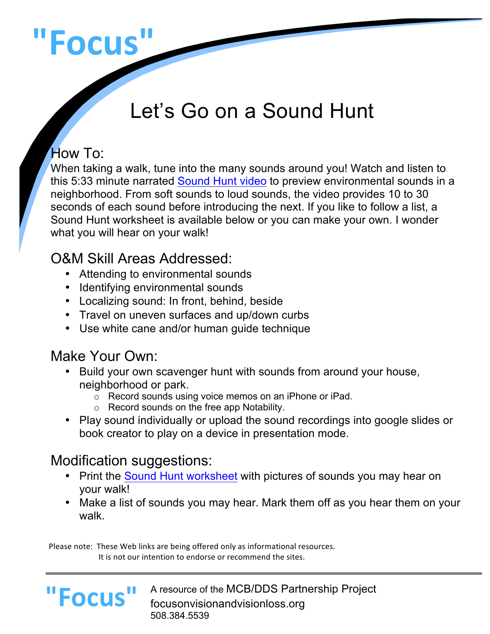# **"Focus"**

# Let's Go on a Sound Hunt

#### How To:

When taking a walk, tune into the many sounds around you! Watch and listen to this 5:33 minute narrated Sound Hunt video to preview environmental sounds in a neighborhood. From soft sounds to loud sounds, the video provides 10 to 30 seconds of each sound before introducing the next. If you like to follow a list, a Sound Hunt worksheet is available below or you can make your own. I wonder what you will hear on your walk!

# O&M Skill Areas Addressed:

- Attending to environmental sounds
- Identifying environmental sounds
- Localizing sound: In front, behind, beside
- Travel on uneven surfaces and up/down curbs
- Use white cane and/or human guide technique

#### Make Your Own:

**"Focus"**

- Build your own scavenger hunt with sounds from around your house, neighborhood or park.
	- o Record sounds using voice memos on an iPhone or iPad.
	- o Record sounds on the free app Notability.
- Play sound individually or upload the sound recordings into google slides or book creator to play on a device in presentation mode.

### Modification suggestions:

- Print the Sound Hunt worksheet with pictures of sounds you may hear on your walk!
- Make a list of sounds you may hear. Mark them off as you hear them on your walk.

Please note: These Web links are being offered only as informational resources. It is not our intention to endorse or recommend the sites.